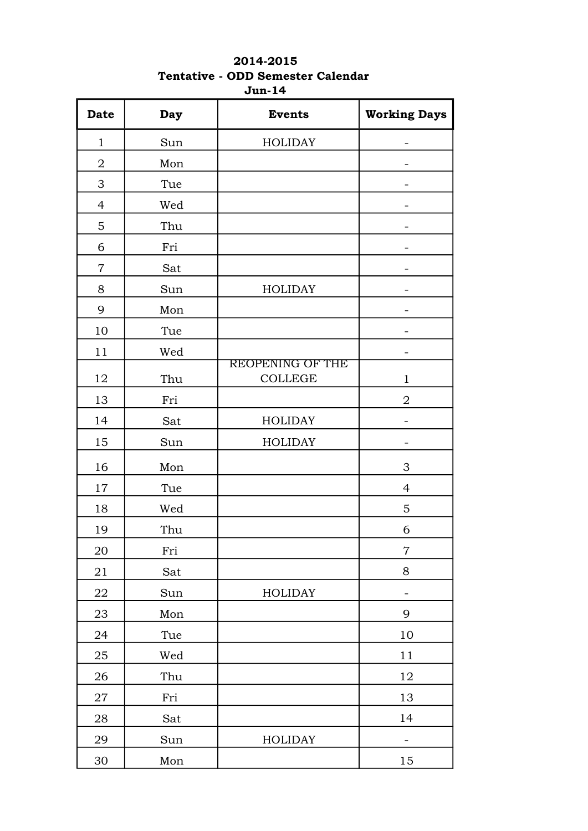## 2014-2015 Tentative - ODD Semester Calendar Jun-14

| <b>Date</b>    | <b>Day</b> | <b>Events</b>                             | <b>Working Days</b> |
|----------------|------------|-------------------------------------------|---------------------|
| $\mathbf{1}$   | Sun        | <b>HOLIDAY</b>                            |                     |
| $\overline{2}$ | Mon        |                                           |                     |
| 3              | Tue        |                                           | -                   |
| $\overline{4}$ | Wed        |                                           |                     |
| 5              | Thu        |                                           |                     |
| 6              | Fri        |                                           |                     |
| $\overline{7}$ | Sat        |                                           |                     |
| 8              | Sun        | <b>HOLIDAY</b>                            |                     |
| 9              | Mon        |                                           |                     |
| 10             | Tue        |                                           |                     |
| 11             | Wed        |                                           |                     |
| 12             | Thu        | <b>REOPENING OF THE</b><br><b>COLLEGE</b> | $\mathbf{1}$        |
| 13             | Fri        |                                           | $\overline{2}$      |
| 14             | Sat        | <b>HOLIDAY</b>                            | -                   |
| 15             | Sun        | <b>HOLIDAY</b>                            |                     |
| 16             | Mon        |                                           | $\mathfrak{Z}$      |
| 17             | Tue        |                                           | $\overline{4}$      |
| 18             | Wed        |                                           | 5                   |
| 19             | Thu        |                                           | 6                   |
| 20             | Fri        |                                           | $\boldsymbol{7}$    |
| 21             | Sat        |                                           | 8                   |
| 22             | Sun        | <b>HOLIDAY</b>                            | $\qquad \qquad -$   |
| 23             | Mon        |                                           | 9                   |
| 24             | Tue        |                                           | 10                  |
| 25             | Wed        |                                           | 11                  |
| 26             | Thu        |                                           | 12                  |
| 27             | Fri        |                                           | 13                  |
| 28             | Sat        |                                           | 14                  |
| 29             | Sun        | <b>HOLIDAY</b>                            | -                   |
| $30\,$         | Mon        |                                           | 15                  |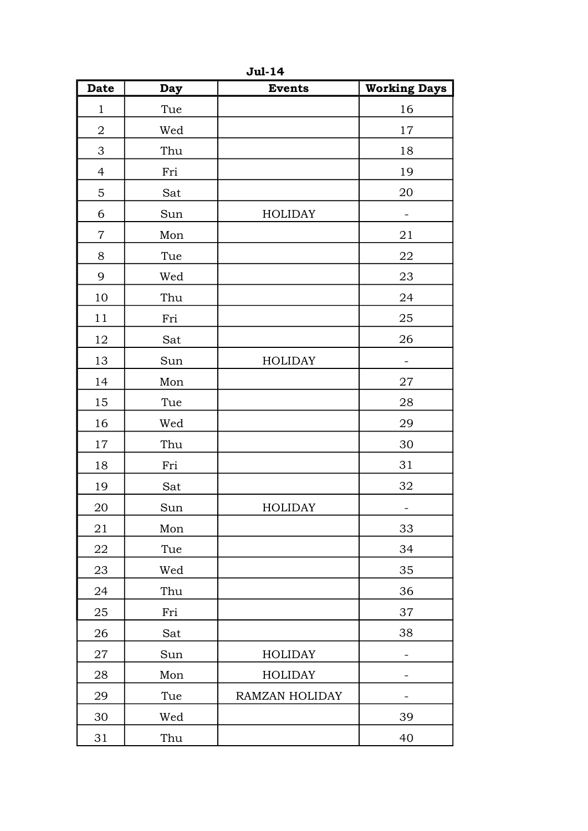| <b>Date</b>    | Day | <b>Events</b>  | <b>Working Days</b> |
|----------------|-----|----------------|---------------------|
| $\mathbf{1}$   | Tue |                | 16                  |
| $\overline{2}$ | Wed |                | 17                  |
| 3              | Thu |                | 18                  |
| $\overline{4}$ | Fri |                | 19                  |
| 5              | Sat |                | 20                  |
| 6              | Sun | <b>HOLIDAY</b> |                     |
| $\overline{7}$ | Mon |                | $21\,$              |
| 8              | Tue |                | 22                  |
| 9              | Wed |                | 23                  |
| $10\,$         | Thu |                | 24                  |
| 11             | Fri |                | 25                  |
| 12             | Sat |                | 26                  |
| 13             | Sun | <b>HOLIDAY</b> | -                   |
| 14             | Mon |                | $\sqrt{27}$         |
| 15             | Tue |                | ${\bf 28}$          |
| 16             | Wed |                | 29                  |
| 17             | Thu |                | $30\,$              |
| 18             | Fri |                | 31                  |
| 19             | Sat |                | 32                  |
| 20             | Sun | <b>HOLIDAY</b> |                     |
| 21             | Mon |                | 33                  |
| 22             | Tue |                | 34                  |
| 23             | Wed |                | 35                  |
| 24             | Thu |                | 36                  |
| 25             | Fri |                | 37                  |
| 26             | Sat |                | 38                  |
| 27             | Sun | HOLIDAY        |                     |
| 28             | Mon | <b>HOLIDAY</b> | -                   |
| 29             | Tue | RAMZAN HOLIDAY |                     |
| 30             | Wed |                | 39                  |
| 31             | Thu |                | 40                  |

Jul-14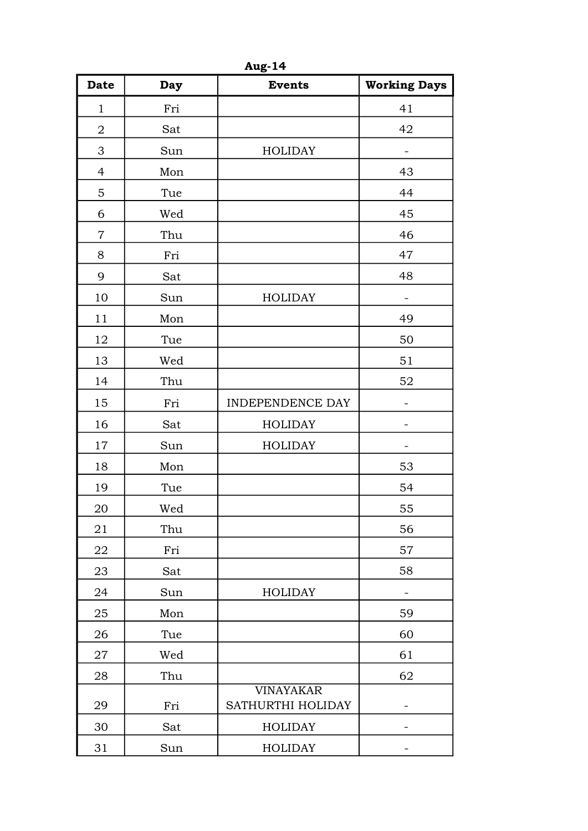| <b>Date</b>    | <b>Day</b> | <b>Events</b>                         | <b>Working Days</b> |
|----------------|------------|---------------------------------------|---------------------|
| $\mathbf{1}$   | Fri        |                                       | 41                  |
| $\overline{2}$ | Sat        |                                       | 42                  |
| 3              | Sun        | <b>HOLIDAY</b>                        | -                   |
| $\overline{4}$ | Mon        |                                       | 43                  |
| $\overline{5}$ | Tue        |                                       | 44                  |
| 6              | Wed        |                                       | 45                  |
| $\overline{7}$ | Thu        |                                       | 46                  |
| 8              | Fri        |                                       | 47                  |
| 9              | Sat        |                                       | 48                  |
| 10             | Sun        | <b>HOLIDAY</b>                        | $\qquad \qquad -$   |
| 11             | Mon        |                                       | 49                  |
| 12             | Tue        |                                       | 50                  |
| 13             | Wed        |                                       | 51                  |
| 14             | Thu        |                                       | 52                  |
| 15             | Fri        | INDEPENDENCE DAY                      |                     |
| 16             | Sat        | <b>HOLIDAY</b>                        |                     |
| $17\,$         | Sun        | <b>HOLIDAY</b>                        | -                   |
| 18             | Mon        |                                       | 53                  |
| 19             | Tue        |                                       | 54                  |
| 20             | Wed        |                                       | 55                  |
| 21             | Thu        |                                       | 56                  |
| 22             | Fri        |                                       | 57                  |
| 23             | Sat        |                                       | 58                  |
| 24             | Sun        | <b>HOLIDAY</b>                        |                     |
| 25             | Mon        |                                       | 59                  |
| 26             | Tue        |                                       | 60                  |
| 27             | Wed        |                                       | 61                  |
| 28             | Thu        |                                       | 62                  |
| 29             | Fri        | <b>VINAYAKAR</b><br>SATHURTHI HOLIDAY | -                   |
| 30             | Sat        | <b>HOLIDAY</b>                        |                     |
| 31             | Sun        | <b>HOLIDAY</b>                        |                     |

Aug-14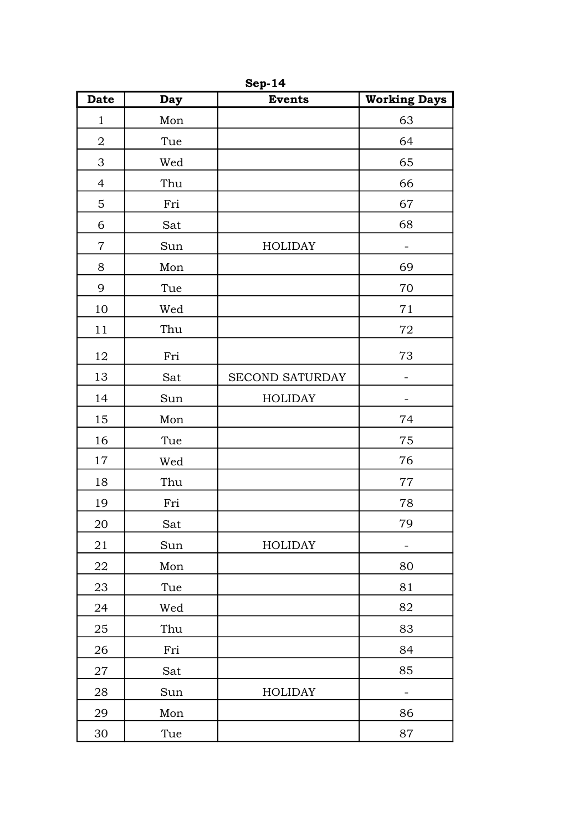| <b>Date</b>    | <b>Day</b> | <b>Events</b>   | <b>Working Days</b> |
|----------------|------------|-----------------|---------------------|
| $\mathbf{1}$   | Mon        |                 | 63                  |
| $\overline{2}$ | Tue        |                 | 64                  |
| 3              | Wed        |                 | 65                  |
| $\overline{4}$ | Thu        |                 | 66                  |
| 5              | Fri        |                 | 67                  |
| $\sqrt{6}$     | Sat        |                 | 68                  |
| $\overline{7}$ | Sun        | <b>HOLIDAY</b>  | -                   |
| 8              | Mon        |                 | 69                  |
| 9              | Tue        |                 | 70                  |
| 10             | Wed        |                 | 71                  |
| 11             | Thu        |                 | $\rm 72$            |
| 12             | Fri        |                 | 73                  |
| 13             | Sat        | SECOND SATURDAY |                     |
| 14             | Sun        | <b>HOLIDAY</b>  | -                   |
| 15             | Mon        |                 | 74                  |
| 16             | Tue        |                 | 75                  |
| 17             | Wed        |                 | 76                  |
| 18             | Thu        |                 | $77\,$              |
| 19             | Fri        |                 | 78                  |
| 20             | Sat        |                 | 79                  |
| 21             | Sun        | <b>HOLIDAY</b>  |                     |
| $22\,$         | Mon        |                 | 80                  |
| 23             | Tue        |                 | 81                  |
| 24             | Wed        |                 | 82                  |
| 25             | Thu        |                 | 83                  |
| 26             | Fri        |                 | 84                  |
| 27             | Sat        |                 | 85                  |
| 28             | Sun        | <b>HOLIDAY</b>  |                     |
| 29             | Mon        |                 | 86                  |
| $30\,$         | Tue        |                 | 87                  |

Sep-14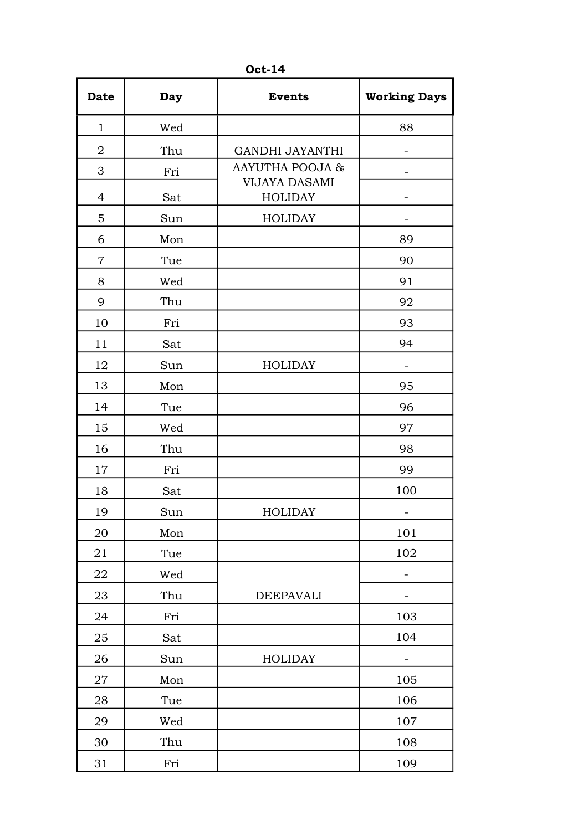| <b>Date</b>    | Day | <b>Events</b>                          | <b>Working Days</b>      |
|----------------|-----|----------------------------------------|--------------------------|
| $\mathbf{1}$   | Wed |                                        | 88                       |
| $\overline{2}$ | Thu | <b>GANDHI JAYANTHI</b>                 |                          |
| 3              | Fri | AAYUTHA POOJA &                        | -                        |
| $\overline{4}$ | Sat | <b>VIJAYA DASAMI</b><br><b>HOLIDAY</b> | $\overline{\phantom{0}}$ |
| 5              | Sun | <b>HOLIDAY</b>                         | -                        |
| 6              | Mon |                                        | 89                       |
| $\overline{7}$ | Tue |                                        | 90                       |
| 8              | Wed |                                        | 91                       |
| 9              | Thu |                                        | 92                       |
| 10             | Fri |                                        | 93                       |
| 11             | Sat |                                        | 94                       |
| 12             | Sun | <b>HOLIDAY</b>                         |                          |
| 13             | Mon |                                        | 95                       |
| 14             | Tue |                                        | 96                       |
| 15             | Wed |                                        | 97                       |
| 16             | Thu |                                        | 98                       |
| 17             | Fri |                                        | 99                       |
| 18             | Sat |                                        | 100                      |
| 19             | Sun | <b>HOLIDAY</b>                         | -                        |
| 20             | Mon |                                        | 101                      |
| 21             | Tue |                                        | 102                      |
| 22             | Wed |                                        |                          |
| 23             | Thu | <b>DEEPAVALI</b>                       |                          |
| 24             | Fri |                                        | 103                      |
| 25             | Sat |                                        | 104                      |
| 26             | Sun | <b>HOLIDAY</b>                         |                          |
| 27             | Mon |                                        | 105                      |
| 28             | Tue |                                        | 106                      |
| 29             | Wed |                                        | 107                      |
| 30             | Thu |                                        | 108                      |
| 31             | Fri |                                        | 109                      |

Oct-14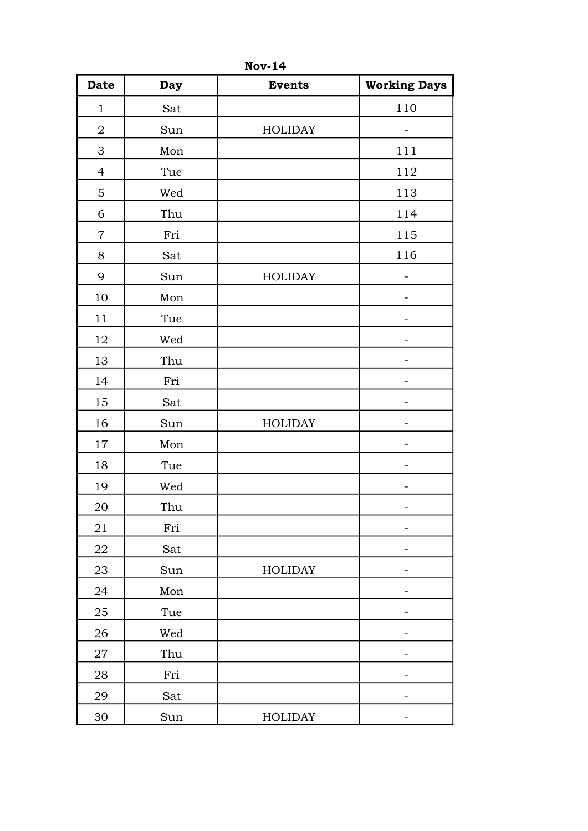| <b>Date</b>    | Day | <b>Events</b>  | <b>Working Days</b> |
|----------------|-----|----------------|---------------------|
| $\mathbf 1$    | Sat |                | 110                 |
| $\sqrt{2}$     | Sun | <b>HOLIDAY</b> |                     |
| 3              | Mon |                | 111                 |
| $\overline{4}$ | Tue |                | 112                 |
| $\mathbf 5$    | Wed |                | 113                 |
| 6              | Thu |                | 114                 |
| $\overline{7}$ | Fri |                | 115                 |
| $8\,$          | Sat |                | 116                 |
| 9              | Sun | <b>HOLIDAY</b> |                     |
| 10             | Mon |                | -                   |
| 11             | Tue |                |                     |
| 12             | Wed |                |                     |
| 13             | Thu |                |                     |
| 14             | Fri |                |                     |
| 15             | Sat |                |                     |
| 16             | Sun | <b>HOLIDAY</b> |                     |
| 17             | Mon |                |                     |
| 18             | Tue |                |                     |
| 19             | Wed |                | -                   |
| 20             | Thu |                | -                   |
| 21             | Fri |                |                     |
| ${\bf 22}$     | Sat |                |                     |
| 23             | Sun | <b>HOLIDAY</b> |                     |
| 24             | Mon |                |                     |
| 25             | Tue |                |                     |
| 26             | Wed |                |                     |
| $27\,$         | Thu |                |                     |
| 28             | Fri |                |                     |
| 29             | Sat |                |                     |
| $30\,$         | Sun | HOLIDAY        | -                   |

Nov-14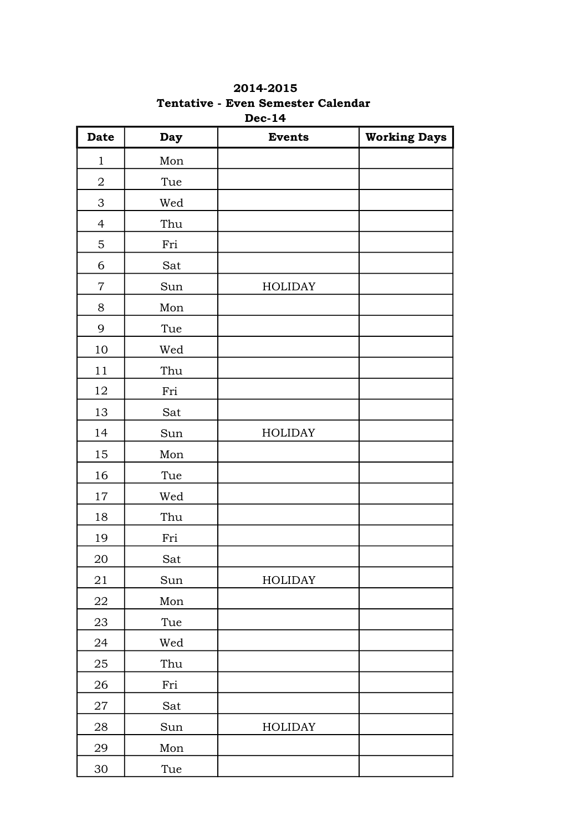| レヒレ-エイ                    |                                                  |                |                     |
|---------------------------|--------------------------------------------------|----------------|---------------------|
| <b>Date</b>               | Day                                              | <b>Events</b>  | <b>Working Days</b> |
| $\mathbf{1}$              | Mon                                              |                |                     |
| $\overline{2}$            | Tue                                              |                |                     |
| $\ensuremath{\mathsf{3}}$ | Wed                                              |                |                     |
| $\overline{4}$            | Thu                                              |                |                     |
| $\mathbf 5$               | Fri                                              |                |                     |
| 6                         | Sat                                              |                |                     |
| $\overline{7}$            | Sun                                              | <b>HOLIDAY</b> |                     |
| 8                         | $\operatorname*{Mon}% \left( \mathcal{M}\right)$ |                |                     |
| 9                         | Tue                                              |                |                     |
| $10\,$                    | Wed                                              |                |                     |
| 11                        | Thu                                              |                |                     |
| 12                        | Fri                                              |                |                     |
| 13                        | Sat                                              |                |                     |
| 14                        | Sun                                              | HOLIDAY        |                     |
| 15                        | Mon                                              |                |                     |
| 16                        | Tue                                              |                |                     |
| $17\,$                    | Wed                                              |                |                     |
| $18\,$                    | Thu                                              |                |                     |
| 19                        | Fri                                              |                |                     |
| 20                        | Sat                                              |                |                     |
| 21                        | Sun                                              | HOLIDAY        |                     |
| 22                        | Mon                                              |                |                     |
| 23                        | Tue                                              |                |                     |
| 24                        | Wed                                              |                |                     |
| $25\,$                    | Thu                                              |                |                     |
| $26\,$                    | Fri                                              |                |                     |
| $27\,$                    | Sat                                              |                |                     |
| 28                        | Sun                                              | <b>HOLIDAY</b> |                     |
| 29                        | $\operatorname*{Mon}% \left( \mathcal{M}\right)$ |                |                     |
| $30\,$                    | Tue                                              |                |                     |

2014-2015 Tentative - Even Semester Calendar Dec-14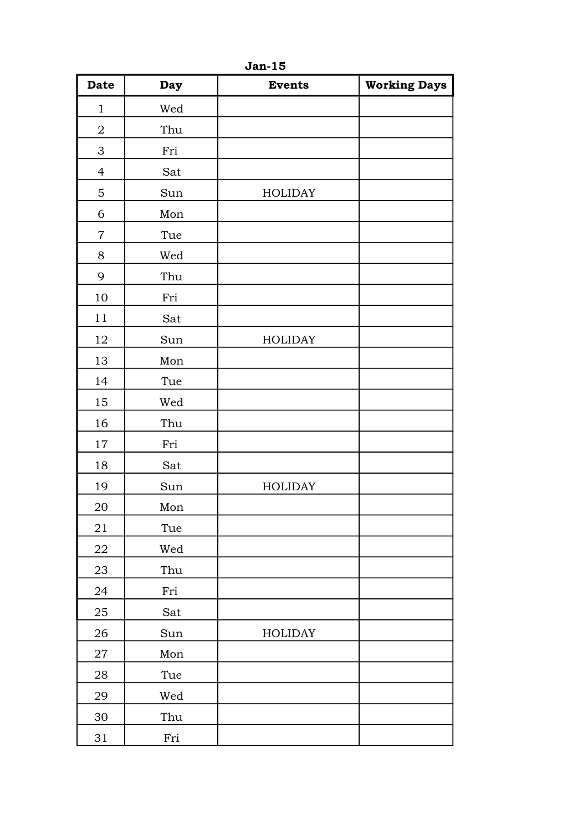| <b>Date</b>      | Day                  | <b>Events</b>  | <b>Working Days</b> |
|------------------|----------------------|----------------|---------------------|
| $\mathbf{1}$     | Wed                  |                |                     |
| $\boldsymbol{2}$ | Thu                  |                |                     |
| 3                | Fri                  |                |                     |
| $\overline{4}$   | Sat                  |                |                     |
| 5                | Sun                  | <b>HOLIDAY</b> |                     |
| 6                | Mon                  |                |                     |
| $\overline{7}$   | Tue                  |                |                     |
| 8                | Wed                  |                |                     |
| 9                | Thu                  |                |                     |
| 10               | Fri                  |                |                     |
| $11\,$           | Sat                  |                |                     |
| 12               | Sun                  | <b>HOLIDAY</b> |                     |
| 13               | Mon                  |                |                     |
| 14               | Tue                  |                |                     |
| 15               | Wed                  |                |                     |
| 16               | Thu                  |                |                     |
| $17\,$           | Fri                  |                |                     |
| 18               | Sat                  |                |                     |
| 19               | Sun                  | <b>HOLIDAY</b> |                     |
| 20               | $\operatorname{Mon}$ |                |                     |
| $21\,$           | Tue                  |                |                     |
| 22               | Wed                  |                |                     |
| 23               | Thu                  |                |                     |
| 24               | Fri                  |                |                     |
| 25               | Sat                  |                |                     |
| 26               | Sun                  | <b>HOLIDAY</b> |                     |
| $\sqrt{27}$      | Mon                  |                |                     |
| 28               | Tue                  |                |                     |
| 29               | Wed                  |                |                     |
| 30               | Thu                  |                |                     |
| 31               | Fri                  |                |                     |

Jan-15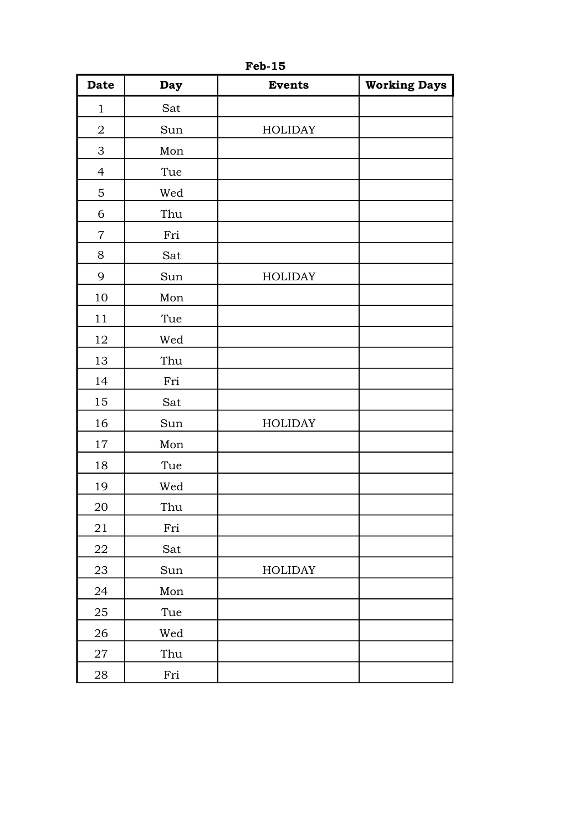| <b>Date</b>    | Day                                              | <b>Events</b>  | <b>Working Days</b> |
|----------------|--------------------------------------------------|----------------|---------------------|
| $\mathbf 1$    | Sat                                              |                |                     |
| $\overline{2}$ | Sun                                              | <b>HOLIDAY</b> |                     |
| 3              | Mon                                              |                |                     |
| $\overline{4}$ | Tue                                              |                |                     |
| 5              | Wed                                              |                |                     |
| 6              | Thu                                              |                |                     |
| $\overline{7}$ | Fri                                              |                |                     |
| 8              | Sat                                              |                |                     |
| 9              | Sun                                              | <b>HOLIDAY</b> |                     |
| $10\,$         | Mon                                              |                |                     |
| 11             | Tue                                              |                |                     |
| 12             | Wed                                              |                |                     |
| 13             | Thu                                              |                |                     |
| 14             | Fri                                              |                |                     |
| $15\,$         | Sat                                              |                |                     |
| 16             | Sun                                              | <b>HOLIDAY</b> |                     |
| 17             | Mon                                              |                |                     |
| 18             | Tue                                              |                |                     |
| 19             | Wed                                              |                |                     |
| 20             | Thu                                              |                |                     |
| $21\,$         | $\rm Fri$                                        |                |                     |
| ${\bf 22}$     | Sat                                              |                |                     |
| 23             | Sun                                              | HOLIDAY        |                     |
| 24             | $\operatorname*{Mon}% \left( \mathcal{M}\right)$ |                |                     |
| $25\,$         | Tue                                              |                |                     |
| 26             | Wed                                              |                |                     |
| $\sqrt{27}$    | Thu                                              |                |                     |
| $28\,$         | Fri                                              |                |                     |

Feb-15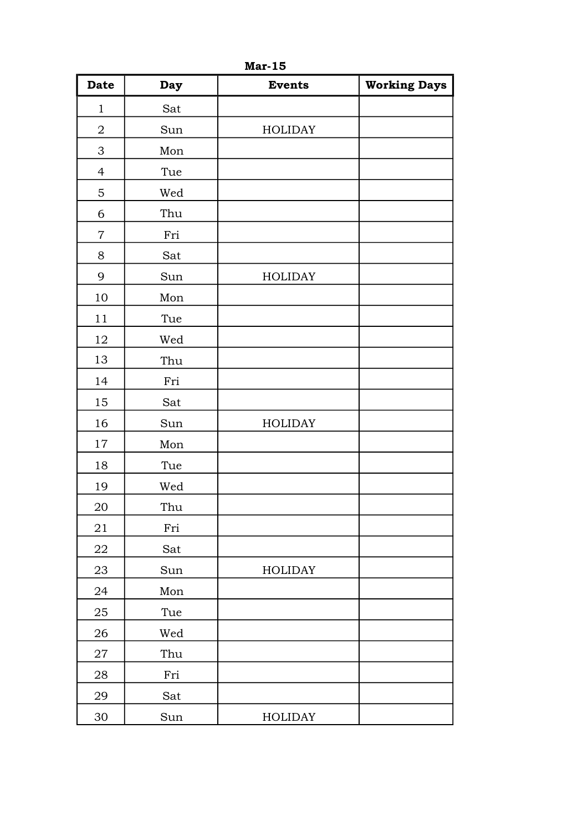| <b>Date</b>    | Day                                              | <b>Events</b>  | <b>Working Days</b> |
|----------------|--------------------------------------------------|----------------|---------------------|
| $\mathbf{1}$   | Sat                                              |                |                     |
| $\overline{2}$ | Sun                                              | <b>HOLIDAY</b> |                     |
| 3              | Mon                                              |                |                     |
| $\overline{4}$ | Tue                                              |                |                     |
| $\overline{5}$ | Wed                                              |                |                     |
| 6              | Thu                                              |                |                     |
| $\overline{7}$ | Fri                                              |                |                     |
| $8\,$          | Sat                                              |                |                     |
| 9              | Sun                                              | <b>HOLIDAY</b> |                     |
| 10             | Mon                                              |                |                     |
| 11             | Tue                                              |                |                     |
| 12             | Wed                                              |                |                     |
| 13             | Thu                                              |                |                     |
| 14             | Fri                                              |                |                     |
| 15             | Sat                                              |                |                     |
| 16             | Sun                                              | <b>HOLIDAY</b> |                     |
| $17\,$         | Mon                                              |                |                     |
| 18             | Tue                                              |                |                     |
| 19             | Wed                                              |                |                     |
| $20\,$         | Thu                                              |                |                     |
| $21\,$         | Fri                                              |                |                     |
| 22             | Sat                                              |                |                     |
| 23             | Sun                                              | <b>HOLIDAY</b> |                     |
| 24             | $\operatorname*{Mon}% \left( \mathcal{M}\right)$ |                |                     |
| 25             | Tue                                              |                |                     |
| 26             | Wed                                              |                |                     |
| $\sqrt{27}$    | Thu                                              |                |                     |
| 28             | Fri                                              |                |                     |
| 29             | Sat                                              |                |                     |
| 30             | Sun                                              | HOLIDAY        |                     |

Mar-15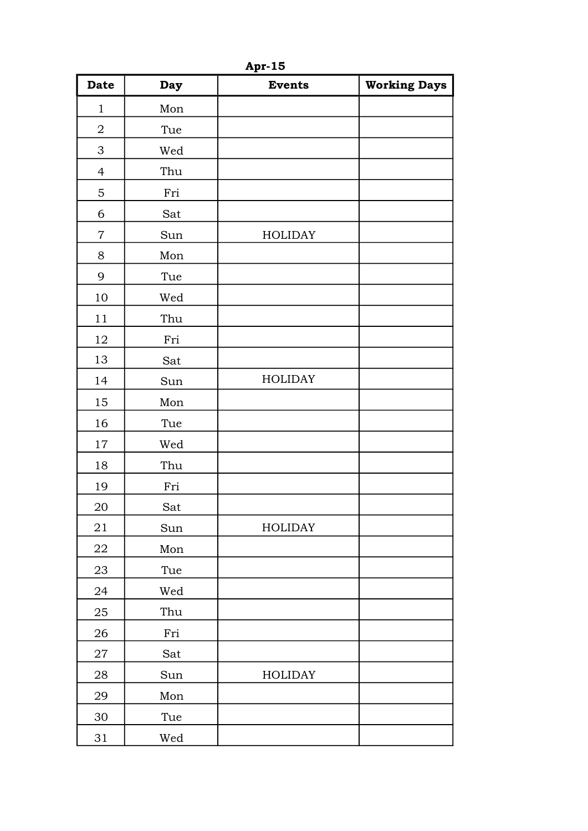| <b>Date</b>    | Day                                              | <b>Events</b>  | <b>Working Days</b> |
|----------------|--------------------------------------------------|----------------|---------------------|
| $\mathbf{1}$   | Mon                                              |                |                     |
| $\overline{2}$ | Tue                                              |                |                     |
| 3              | Wed                                              |                |                     |
| $\overline{4}$ | Thu                                              |                |                     |
| $\overline{5}$ | Fri                                              |                |                     |
| 6              | Sat                                              |                |                     |
| $\overline{7}$ | Sun                                              | <b>HOLIDAY</b> |                     |
| 8              | Mon                                              |                |                     |
| 9              | Tue                                              |                |                     |
| 10             | Wed                                              |                |                     |
| $1\,1$         | Thu                                              |                |                     |
| 12             | Fri                                              |                |                     |
| 13             | Sat                                              |                |                     |
| 14             | Sun                                              | <b>HOLIDAY</b> |                     |
| 15             | Mon                                              |                |                     |
| 16             | Tue                                              |                |                     |
| $17\,$         | Wed                                              |                |                     |
| 18             | Thu                                              |                |                     |
| 19             | Fri                                              |                |                     |
| $20\,$         | Sat                                              |                |                     |
| $21\,$         | Sun                                              | <b>HOLIDAY</b> |                     |
| 22             | Mon                                              |                |                     |
| 23             | Tue                                              |                |                     |
| 24             | Wed                                              |                |                     |
| 25             | Thu                                              |                |                     |
| 26             | Fri                                              |                |                     |
| $\sqrt{27}$    | Sat                                              |                |                     |
| 28             | Sun                                              | HOLIDAY        |                     |
| 29             | $\operatorname*{Mon}% \left( \mathcal{M}\right)$ |                |                     |
| 30             | Tue                                              |                |                     |
| 31             | Wed                                              |                |                     |

Apr-15